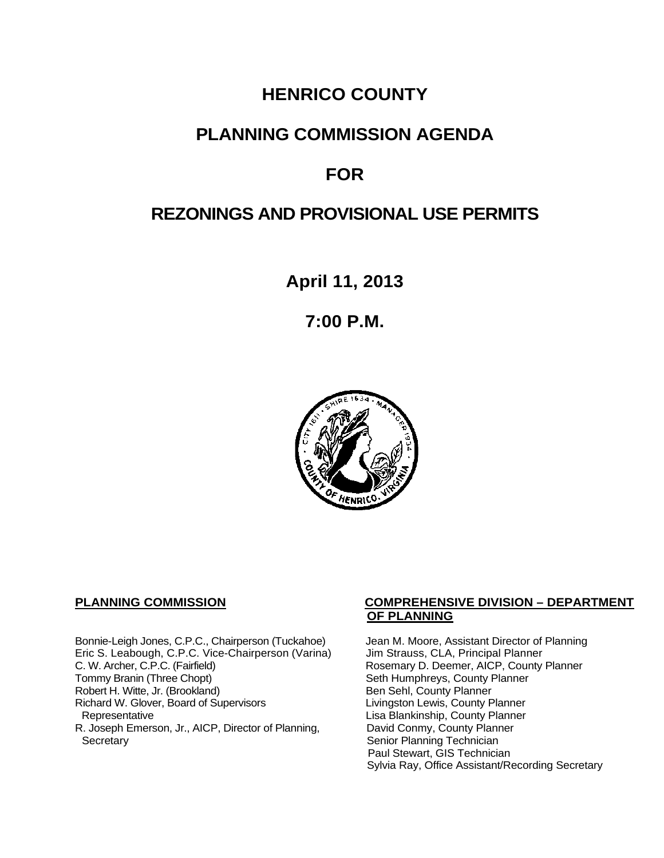## **HENRICO COUNTY**

### **PLANNING COMMISSION AGENDA**

# **FOR**

# **REZONINGS AND PROVISIONAL USE PERMITS**

**April 11, 2013**

**7:00 P.M.**



Bonnie-Leigh Jones, C.P.C., Chairperson (Tuckahoe) Jean M. Moore, Assistant Director of Planning<br>Eric S. Leabough, C.P.C. Vice-Chairperson (Varina) Jim Strauss, CLA, Principal Planner Eric S. Leabough, C.P.C. Vice-Chairperson (Varina)<br>C. W. Archer, C.P.C. (Fairfield) C. W. Archer, C.P.C. (Fairfield) Rosemary D. Deemer, AICP, County Planner<br>
Tommy Branin (Three Chopt) Seth Humphreys, County Planner Robert H. Witte, Jr. (Brookland)<br>
Richard W. Glover, Board of Supervisors<br>
Livingston Lewis, County Planner Richard W. Glover, Board of Supervisors<br>Representative R. Joseph Emerson, Jr., AICP, Director of Planning, Secretary

#### **PLANNING COMMISSION COMPREHENSIVE DIVISION – DEPARTMENT OF PLANNING**

Seth Humphreys, County Planner<br>Ben Sehl, County Planner Lisa Blankinship, County Planner<br>David Conmy, County Planner Senior Planning Technician Paul Stewart, GIS Technician Sylvia Ray, Office Assistant/Recording Secretary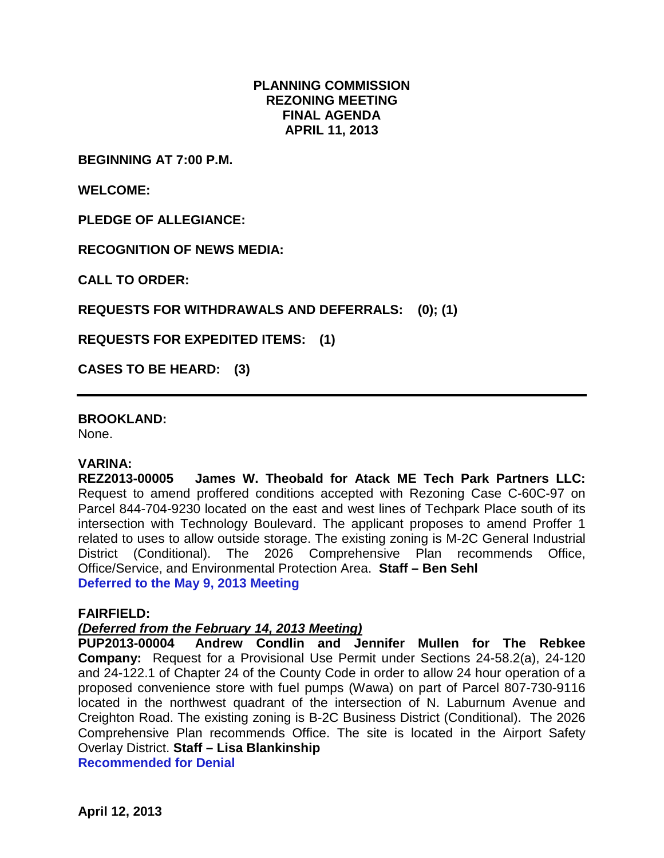#### **PLANNING COMMISSION REZONING MEETING FINAL AGENDA APRIL 11, 2013**

**BEGINNING AT 7:00 P.M.**

**WELCOME:**

**PLEDGE OF ALLEGIANCE:**

**RECOGNITION OF NEWS MEDIA:**

**CALL TO ORDER:**

**REQUESTS FOR WITHDRAWALS AND DEFERRALS: (0); (1)**

**REQUESTS FOR EXPEDITED ITEMS: (1)**

**CASES TO BE HEARD: (3)**

**BROOKLAND:**

None.

#### **VARINA:**

**REZ2013-00005 James W. Theobald for Atack ME Tech Park Partners LLC:**  Request to amend proffered conditions accepted with Rezoning Case C-60C-97 on Parcel 844-704-9230 located on the east and west lines of Techpark Place south of its intersection with Technology Boulevard. The applicant proposes to amend Proffer 1 related to uses to allow outside storage. The existing zoning is M-2C General Industrial District (Conditional). The 2026 Comprehensive Plan recommends Office, Office/Service, and Environmental Protection Area. **Staff – Ben Sehl Deferred to the May 9, 2013 Meeting**

#### **FAIRFIELD:**

# *(Deferred from the February 14, 2013 Meeting)*

Andrew Condlin and Jennifer Mullen for The Rebkee **Company:** Request for a Provisional Use Permit under Sections 24-58.2(a), 24-120 and 24-122.1 of Chapter 24 of the County Code in order to allow 24 hour operation of a proposed convenience store with fuel pumps (Wawa) on part of Parcel 807-730-9116 located in the northwest quadrant of the intersection of N. Laburnum Avenue and Creighton Road. The existing zoning is B-2C Business District (Conditional). The 2026 Comprehensive Plan recommends Office. The site is located in the Airport Safety Overlay District. **Staff – Lisa Blankinship**

**Recommended for Denial**